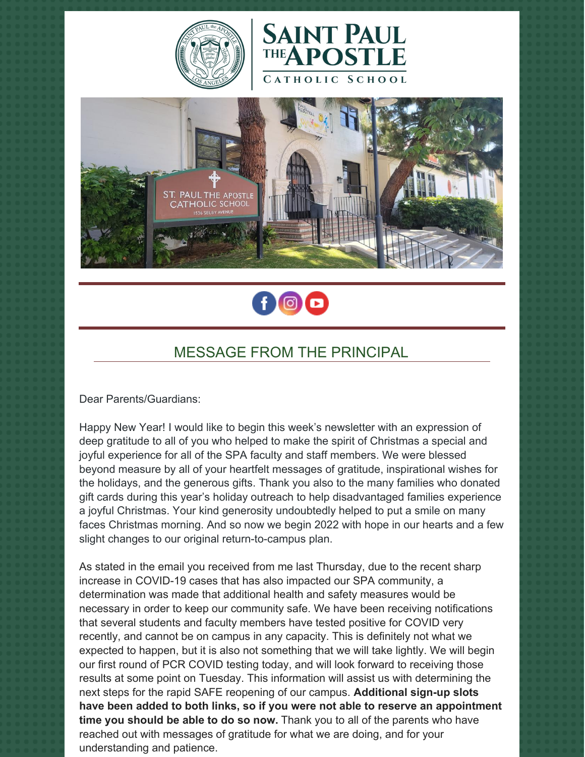







# MESSAGE FROM THE PRINCIPAL

Dear Parents/Guardians:

Happy New Year! I would like to begin this week's newsletter with an expression of deep gratitude to all of you who helped to make the spirit of Christmas a special and joyful experience for all of the SPA faculty and staff members. We were blessed beyond measure by all of your heartfelt messages of gratitude, inspirational wishes for the holidays, and the generous gifts. Thank you also to the many families who donated gift cards during this year's holiday outreach to help disadvantaged families experience a joyful Christmas. Your kind generosity undoubtedly helped to put a smile on many faces Christmas morning. And so now we begin 2022 with hope in our hearts and a few slight changes to our original return-to-campus plan.

As stated in the email you received from me last Thursday, due to the recent sharp increase in COVID-19 cases that has also impacted our SPA community, a determination was made that additional health and safety measures would be necessary in order to keep our community safe. We have been receiving notifications that several students and faculty members have tested positive for COVID very recently, and cannot be on campus in any capacity. This is definitely not what we expected to happen, but it is also not something that we will take lightly. We will begin our first round of PCR COVID testing today, and will look forward to receiving those results at some point on Tuesday. This information will assist us with determining the next steps for the rapid SAFE reopening of our campus. **Additional sign-up slots have been added to both links, so if you were not able to reserve an appointment time you should be able to do so now.** Thank you to all of the parents who have reached out with messages of gratitude for what we are doing, and for your understanding and patience.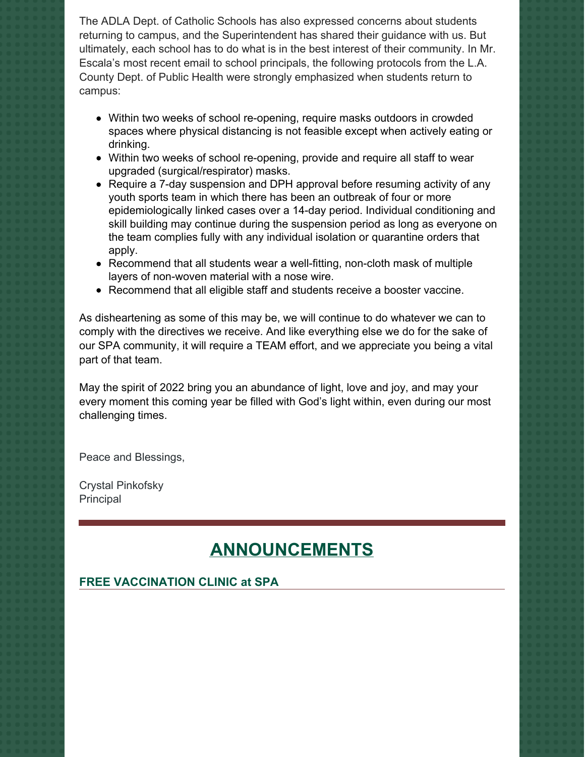The ADLA Dept. of Catholic Schools has also expressed concerns about students returning to campus, and the Superintendent has shared their guidance with us. But ultimately, each school has to do what is in the best interest of their community. In Mr. Escala's most recent email to school principals, the following protocols from the L.A. County Dept. of Public Health were strongly emphasized when students return to campus:

- Within two weeks of school re-opening, require masks outdoors in crowded spaces where physical distancing is not feasible except when actively eating or drinking.
- Within two weeks of school re-opening, provide and require all staff to wear upgraded (surgical/respirator) masks.
- Require a 7-day suspension and DPH approval before resuming activity of any youth sports team in which there has been an outbreak of four or more epidemiologically linked cases over a 14-day period. Individual conditioning and skill building may continue during the suspension period as long as everyone on the team complies fully with any individual isolation or quarantine orders that apply.
- Recommend that all students wear a well-fitting, non-cloth mask of multiple layers of non-woven material with a nose wire.
- Recommend that all eligible staff and students receive a booster vaccine.

As disheartening as some of this may be, we will continue to do whatever we can to comply with the directives we receive. And like everything else we do for the sake of our SPA community, it will require a TEAM effort, and we appreciate you being a vital part of that team.

May the spirit of 2022 bring you an abundance of light, love and joy, and may your every moment this coming year be filled with God's light within, even during our most challenging times.

Peace and Blessings,

Crystal Pinkofsky Principal

# **ANNOUNCEMENTS**

#### **FREE VACCINATION CLINIC at SPA**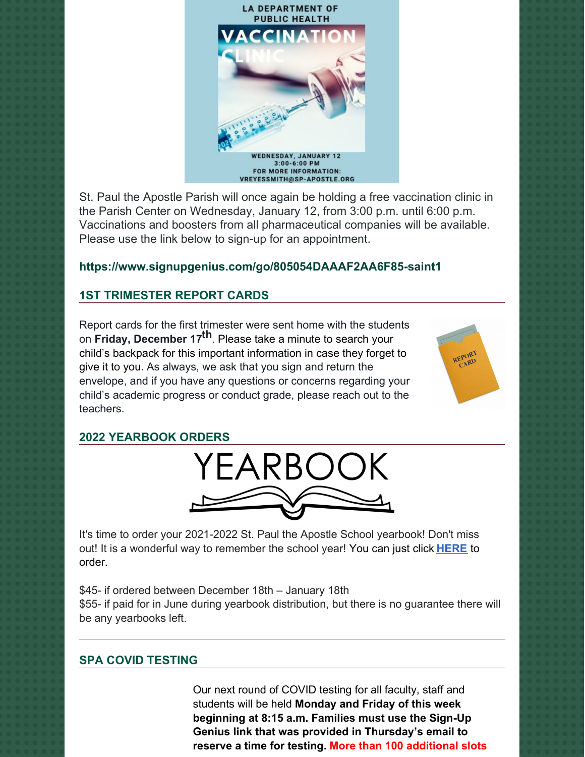

St. Paul the Apostle Parish will once again be holding a free vaccination clinic in the Parish Center on Wednesday, January 12, from 3:00 p.m. until 6:00 p.m. Vaccinations and boosters from all pharmaceutical companies will be available. Please use the link below to sign-up for an appointment.

### **<https://www.signupgenius.com/go/805054DAAAF2AA6F85-saint1>**

# **1ST TRIMESTER REPORT CARDS**

Report cards for the first trimester were sent home with the students on **Friday, December 17 th**. Please take a minute to search your child's backpack for this important information in case they forget to give it to you. As always, we ask that you sign and return the envelope, and if you have any questions or concerns regarding your child's academic progress or conduct grade, please reach out to the teachers.



#### **2022 YEARBOOK ORDERS**



It's time to order your 2021-2022 St. Paul the Apostle School yearbook! Don't miss out! It is a wonderful way to remember the school year! You can just click **[HERE](https://www.prestoregister.com/cgi-bin/order.pl?ref=spapostle_school&fm=3)** to order.

\$45- if ordered between December 18th – January 18th \$55- if paid for in June during yearbook distribution, but there is no guarantee there will be any yearbooks left.

### **SPA COVID TESTING**

Our next round of COVID testing for all faculty, staff and students will be held **Monday and Friday of this week beginning at 8:15 a.m. Families must use the Sign-Up Genius link that was provided in Thursday's email to reserve a time for testing. More than 100 additional slots**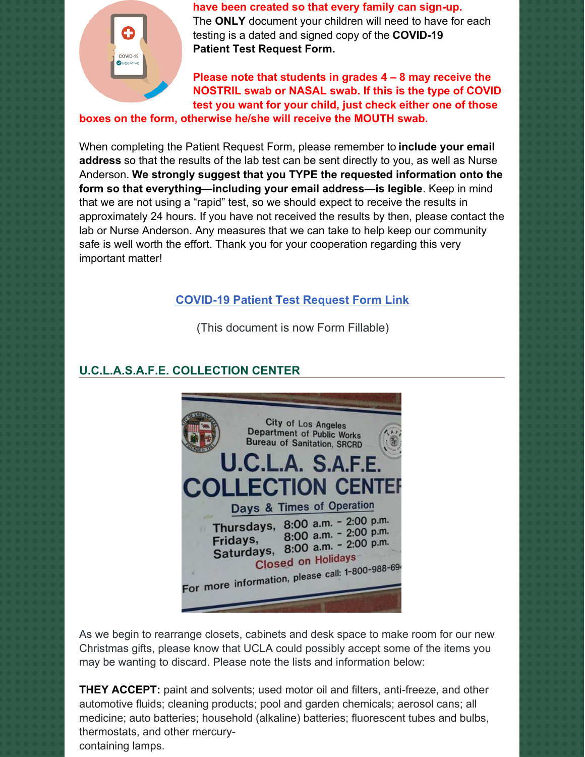

**have been created so that every family can sign-up.**

The **ONLY** document your children will need to have for each testing is a dated and signed copy of the **COVID-19 Patient Test Request Form.**

**Please note that students in grades 4 – 8 may receive the NOSTRIL swab or NASAL swab. If this is the type of COVID test you want for your child, just check either one of those**

**boxes on the form, otherwise he/she will receive the MOUTH swab.**

When completing the Patient Request Form, please remember to **include your email address** so that the results of the lab test can be sent directly to you, as well as Nurse Anderson. **We strongly suggest that you TYPE the requested information onto the form so that everything—including your email address—is legible**. Keep in mind that we are not using a "rapid" test, so we should expect to receive the results in approximately 24 hours. If you have not received the results by then, please contact the lab or Nurse Anderson. Any measures that we can take to help keep our community safe is well worth the effort. Thank you for your cooperation regarding this very important matter!

# **[COVID-19](https://school.sp-apostle.org/wp-content/uploads/2021/11/PATIENT-REQ-FORM-FILLABLE.pdf) Patient Test Request Form Link**

(This document is now Form Fillable)

# **U.C.L.A.S.A.F.E. COLLECTION CENTER**



As we begin to rearrange closets, cabinets and desk space to make room for our new Christmas gifts, please know that UCLA could possibly accept some of the items you may be wanting to discard. Please note the lists and information below:

**THEY ACCEPT:** paint and solvents; used motor oil and filters, anti-freeze, and other automotive fluids; cleaning products; pool and garden chemicals; aerosol cans; all medicine; auto batteries; household (alkaline) batteries; fluorescent tubes and bulbs, thermostats, and other mercurycontaining lamps.